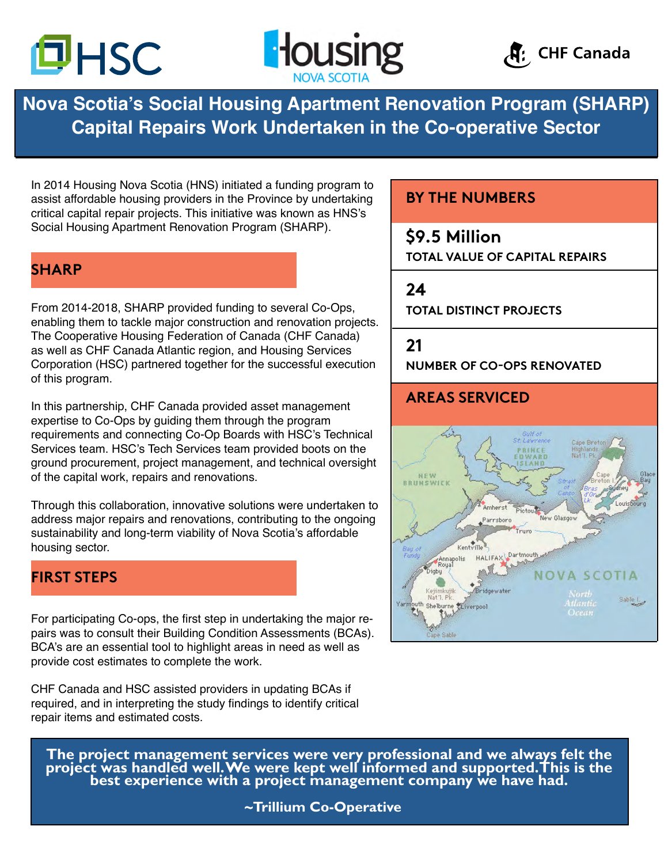





**Nova Scotia's Social Housing Apartment Renovation Program (SHARP) Capital Repairs Work Undertaken in the Co-operative Sector**

In 2014 Housing Nova Scotia (HNS) initiated a funding program to assist affordable housing providers in the Province by undertaking critical capital repair projects. This initiative was known as HNS's Social Housing Apartment Renovation Program (SHARP).

# **SHARP**

From 2014-2018, SHARP provided funding to several Co-Ops, enabling them to tackle major construction and renovation projects. The Cooperative Housing Federation of Canada (CHF Canada) as well as CHF Canada Atlantic region, and Housing Services Corporation (HSC) partnered together for the successful execution of this program.

In this partnership, CHF Canada provided asset management expertise to Co-Ops by guiding them through the program requirements and connecting Co-Op Boards with HSC's Technical Services team. HSC's Tech Services team provided boots on the ground procurement, project management, and technical oversight of the capital work, repairs and renovations.

Through this collaboration, innovative solutions were undertaken to address major repairs and renovations, contributing to the ongoing sustainability and long-term viability of Nova Scotia's affordable housing sector.

## **FIRST STEPS**

For participating Co-ops, the first step in undertaking the major repairs was to consult their Building Condition Assessments (BCAs). BCA's are an essential tool to highlight areas in need as well as provide cost estimates to complete the work.

CHF Canada and HSC assisted providers in updating BCAs if required, and in interpreting the study findings to identify critical repair items and estimated costs.

# **BY THE NUMBERS**

# **\$9.5 Million**

**TOTAL VALUE OF CAPITAL REPAIRS**

#### **24**

**TOTAL DISTINCT PROJECTS**

### **21**

**NUMBER OF CO-OPS RENOVATED**

# **AREAS SERVICED**



**The project management services were very professional and we always felt the project was handled well. We were kept well informed and supported. This is the best experience with a project management company we have had.**

**~Trillium Co-Operative**